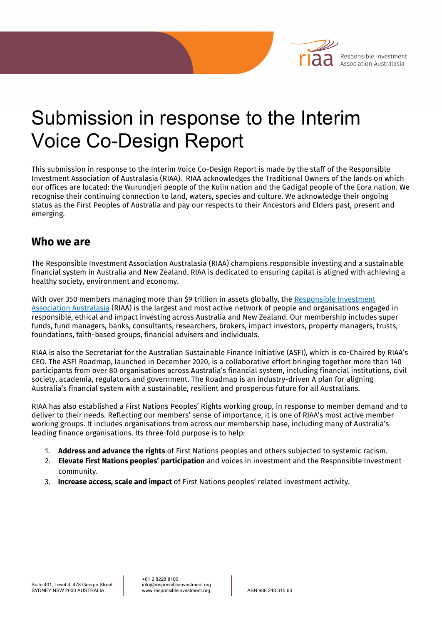

## Submission in response to the Interim Voice Co-Design Report

This submission in response to the Interim Voice Co-Design Report is made by the staff of the Responsible Investment Association of Australasia (RIAA). RIAA acknowledges the Traditional Owners of the lands on which our offices are located: the Wurundjeri people of the Kulin nation and the Gadigal people of the Eora nation. We recognise their continuing connection to land, waters, species and culture. We acknowledge their ongoing status as the First Peoples of Australia and pay our respects to their Ancestors and Elders past, present and emerging.

## **Who we are**

The Responsible Investment Association Australasia (RIAA) champions responsible investing and a sustainable financial system in Australia and New Zealand. RIAA is dedicated to ensuring capital is aligned with achieving a healthy society, environment and economy.

With over 350 members managing more than \$9 trillion in assets globally, the Responsible Investment [Association Australasia](https://responsibleinvestment.org/) (RIAA) is the largest and most active network of people and organisations engaged in responsible, ethical and impact investing across Australia and New Zealand. Our membership includes super funds, fund managers, banks, consultants, researchers, brokers, impact investors, property managers, trusts, foundations, faith-based groups, financial advisers and individuals.

RIAA is also the Secretariat for the Australian Sustainable Finance Initiative (ASFI), which is co-Chaired by RIAA's CEO. The ASFI Roadmap, launched in December 2020, is a collaborative effort bringing together more than 140 participants from over 80 organisations across Australia's financial system, including financial institutions, civil society, academia, regulators and government. The Roadmap is an industry-driven A plan for aligning Australia's financial system with a sustainable, resilient and prosperous future for all Australians.

RIAA has also established a First Nations Peoples' Rights working group, in response to member demand and to deliver to their needs. Reflecting our members' sense of importance, it is one of RIAA's most active member working groups. It includes organisations from across our membership base, including many of Australia's leading finance organisations. Its three-fold purpose is to help:

- 1. **Address and advance the rights** of First Nations peoples and others subjected to systemic racism.
- 2. **Elevate First Nations peoples' participation** and voices in investment and the Responsible Investment community.
- 3. **Increase access, scale and impact** of First Nations peoples' related investment activity.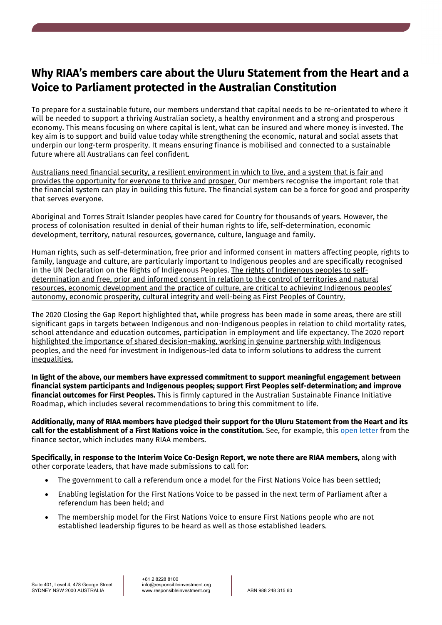## **Why RIAA's members care about the Uluru Statement from the Heart and a Voice to Parliament protected in the Australian Constitution**

To prepare for a sustainable future, our members understand that capital needs to be re-orientated to where it will be needed to support a thriving Australian society, a healthy environment and a strong and prosperous economy. This means focusing on where capital is lent, what can be insured and where money is invested. The key aim is to support and build value today while strengthening the economic, natural and social assets that underpin our long-term prosperity. It means ensuring finance is mobilised and connected to a sustainable future where all Australians can feel confident.

Australians need financial security, a resilient environment in which to live, and a system that is fair and provides the opportunity for everyone to thrive and prosper. Our members recognise the important role that the financial system can play in building this future. The financial system can be a force for good and prosperity that serves everyone.

Aboriginal and Torres Strait Islander peoples have cared for Country for thousands of years. However, the process of colonisation resulted in denial of their human rights to life, self-determination, economic development, territory, natural resources, governance, culture, language and family.

Human rights, such as self-determination, free prior and informed consent in matters affecting people, rights to family, language and culture, are particularly important to Indigenous peoples and are specifically recognised in the UN Declaration on the Rights of Indigenous Peoples. The rights of Indigenous peoples to selfdetermination and free, prior and informed consent in relation to the control of territories and natural resources, economic development and the practice of culture, are critical to achieving Indigenous peoples' autonomy, economic prosperity, cultural integrity and well-being as First Peoples of Country.

The 2020 Closing the Gap Report highlighted that, while progress has been made in some areas, there are still significant gaps in targets between Indigenous and non-Indigenous peoples in relation to child mortality rates, school attendance and education outcomes, participation in employment and life expectancy. The 2020 report highlighted the importance of shared decision-making, working in genuine partnership with Indigenous peoples, and the need for investment in Indigenous-led data to inform solutions to address the current inequalities.

**In light of the above, our members have expressed commitment to support meaningful engagement between financial system participants and Indigenous peoples; support First Peoples self-determination; and improve financial outcomes for First Peoples.** This is firmly captured in the Australian Sustainable Finance Initiative Roadmap, which includes several recommendations to bring this commitment to life.

**Additionally, many of RIAA members have pledged their support for the Uluru Statement from the Heart and its call for the establishment of a First Nations voice in the constitution.** See, for example, this [open letter](https://www.afr.com/companies/financial-services/finance-gets-behind-the-uluru-statement-20190522-p51pxa) from the finance sector, which includes many RIAA members.

**Specifically, in response to the Interim Voice Co-Design Report, we note there are RIAA members,** along with other corporate leaders, that have made submissions to call for:

- The government to call a referendum once a model for the First Nations Voice has been settled;
- Enabling legislation for the First Nations Voice to be passed in the next term of Parliament after a referendum has been held; and
- The membership model for the First Nations Voice to ensure First Nations people who are not established leadership figures to be heard as well as those established leaders.

+61 2 8228 8100